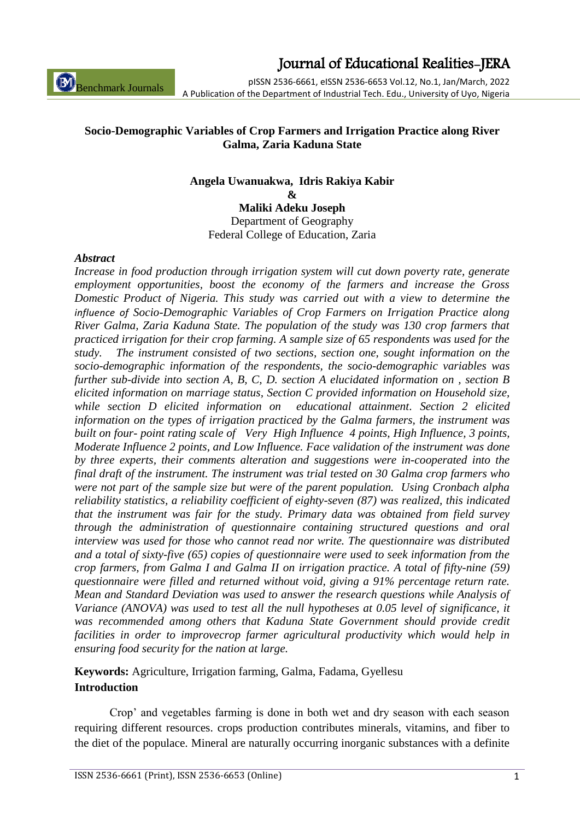ISSN 2536-6661 (Print), ISSN 2536-6653 (Online) 1

Journal of Educational Realities-JERA

pISSN 2536-6661, eISSN 2536-6653 Vol.12, No.1, Jan/March, 2022 A Publication of the Department of Industrial Tech. Edu., University of Uyo, Nigeria

#### **Socio-Demographic Variables of Crop Farmers and Irrigation Practice along River Galma, Zaria Kaduna State**

#### **Angela Uwanuakwa, Idris Rakiya Kabir**

**&**

**Maliki Adeku Joseph** Department of Geography Federal College of Education, Zaria

#### *Abstract*

Benchmark Journals

*Increase in food production through irrigation system will cut down poverty rate, generate employment opportunities, boost the economy of the farmers and increase the Gross Domestic Product of Nigeria. This study was carried out with a view to determine the influence of Socio-Demographic Variables of Crop Farmers on Irrigation Practice along River Galma, Zaria Kaduna State. The population of the study was 130 crop farmers that practiced irrigation for their crop farming. A sample size of 65 respondents was used for the study. The instrument consisted of two sections, section one, sought information on the socio-demographic information of the respondents, the socio-demographic variables was further sub-divide into section A, B, C, D. section A elucidated information on , section B elicited information on marriage status, Section C provided information on Household size, while section D elicited information on educational attainment. Section 2 elicited information on the types of irrigation practiced by the Galma farmers, the instrument was built on four- point rating scale of Very High Influence 4 points, High Influence, 3 points, Moderate Influence 2 points, and Low Influence. Face validation of the instrument was done by three experts, their comments alteration and suggestions were in-cooperated into the final draft of the instrument. The instrument was trial tested on 30 Galma crop farmers who were not part of the sample size but were of the parent population. Using Cronbach alpha reliability statistics, a reliability coefficient of eighty-seven (87) was realized, this indicated that the instrument was fair for the study. Primary data was obtained from field survey through the administration of questionnaire containing structured questions and oral interview was used for those who cannot read nor write. The questionnaire was distributed and a total of sixty-five (65) copies of questionnaire were used to seek information from the crop farmers, from Galma I and Galma II on irrigation practice. A total of fifty-nine (59) questionnaire were filled and returned without void, giving a 91% percentage return rate. Mean and Standard Deviation was used to answer the research questions while Analysis of Variance (ANOVA) was used to test all the null hypotheses at 0.05 level of significance, it was recommended among others that Kaduna State Government should provide credit facilities in order to improvecrop farmer agricultural productivity which would help in ensuring food security for the nation at large.*

### **Keywords:** Agriculture, Irrigation farming, Galma, Fadama, Gyellesu **Introduction**

Crop' and vegetables farming is done in both wet and dry season with each season requiring different resources. crops production contributes minerals, vitamins, and fiber to the diet of the populace. Mineral are naturally occurring inorganic substances with a definite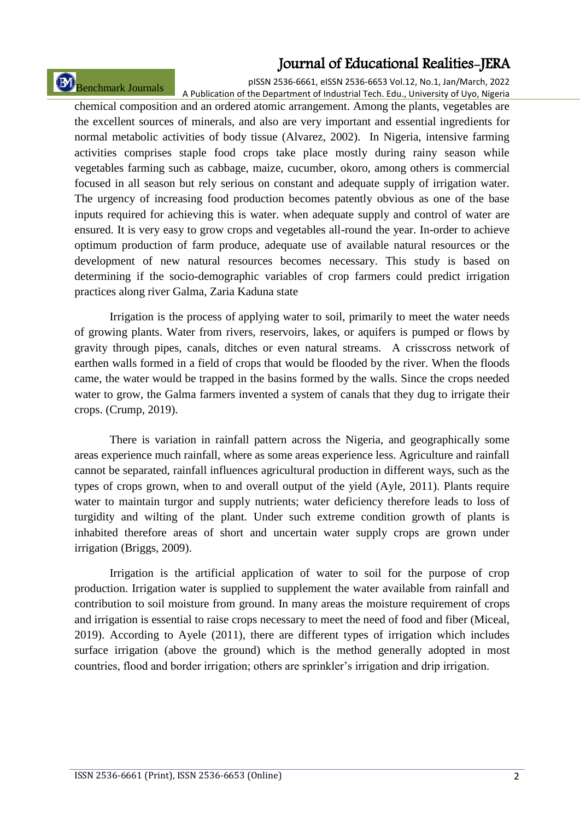Benchmark Journals

pISSN 2536-6661, eISSN 2536-6653 Vol.12, No.1, Jan/March, 2022 A Publication of the Department of Industrial Tech. Edu., University of Uyo, Nigeria

chemical composition and an ordered atomic arrangement. Among the plants, vegetables are the excellent sources of minerals, and also are very important and essential ingredients for normal metabolic activities of body tissue (Alvarez, 2002). In Nigeria, intensive farming activities comprises staple food crops take place mostly during rainy season while vegetables farming such as cabbage, maize, cucumber, okoro, among others is commercial focused in all season but rely serious on constant and adequate supply of irrigation water. The urgency of increasing food production becomes patently obvious as one of the base inputs required for achieving this is water. when adequate supply and control of water are ensured. It is very easy to grow crops and vegetables all-round the year. In-order to achieve optimum production of farm produce, adequate use of available natural resources or the development of new natural resources becomes necessary. This study is based on determining if the socio-demographic variables of crop farmers could predict irrigation practices along river Galma, Zaria Kaduna state

Irrigation is the process of applying water to soil, primarily to meet the water needs of growing plants. Water from rivers, reservoirs, lakes, or aquifers is pumped or flows by gravity through pipes, canals, ditches or even natural streams. A crisscross network of earthen walls formed in a field of crops that would be flooded by the river. When the floods came, the water would be trapped in the basins formed by the walls. Since the crops needed water to grow, the Galma farmers invented a system of canals that they dug to irrigate their crops. (Crump, 2019).

There is variation in rainfall pattern across the Nigeria, and geographically some areas experience much rainfall, where as some areas experience less. Agriculture and rainfall cannot be separated, rainfall influences agricultural production in different ways, such as the types of crops grown, when to and overall output of the yield (Ayle, 2011). Plants require water to maintain turgor and supply nutrients; water deficiency therefore leads to loss of turgidity and wilting of the plant. Under such extreme condition growth of plants is inhabited therefore areas of short and uncertain water supply crops are grown under irrigation (Briggs, 2009).

Irrigation is the artificial application of water to soil for the purpose of crop production. Irrigation water is supplied to supplement the water available from rainfall and contribution to soil moisture from ground. In many areas the moisture requirement of crops and irrigation is essential to raise crops necessary to meet the need of food and fiber (Miceal, 2019). According to Ayele (2011), there are different types of irrigation which includes surface irrigation (above the ground) which is the method generally adopted in most countries, flood and border irrigation; others are sprinkler's irrigation and drip irrigation.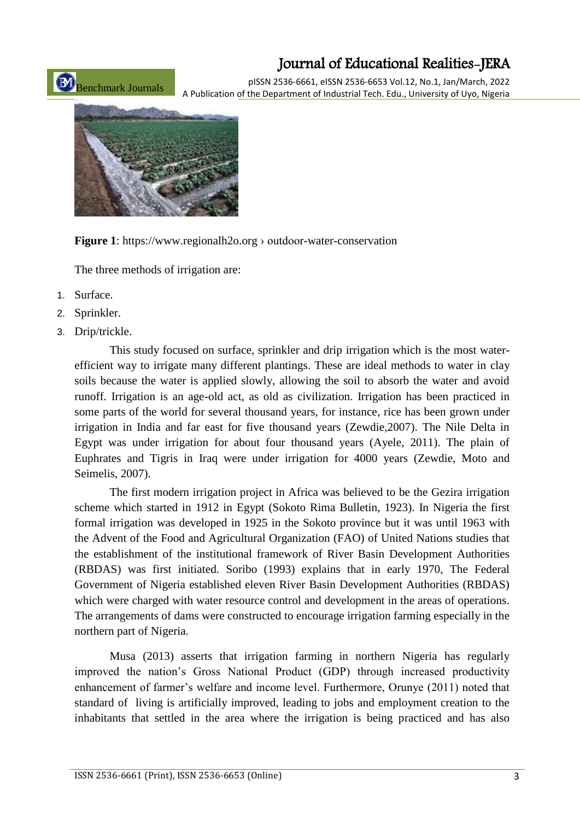pISSN 2536-6661, eISSN 2536-6653 Vol.12, No.1, Jan/March, 2022 A Publication of the Department of Industrial Tech. Edu., University of Uyo, Nigeria



Benchmark Journals

**Figure 1**: https://www.regionalh2o.org › outdoor-water-conservation

The three methods of irrigation are:

- 1. Surface.
- 2. Sprinkler.
- 3. Drip/trickle.

This study focused on surface, sprinkler and drip irrigation which is the most waterefficient way to irrigate many different plantings. These are ideal methods to water in clay soils because the water is applied slowly, allowing the soil to absorb the water and avoid runoff. Irrigation is an age-old act, as old as civilization. Irrigation has been practiced in some parts of the world for several thousand years, for instance, rice has been grown under irrigation in India and far east for five thousand years (Zewdie,2007). The Nile Delta in Egypt was under irrigation for about four thousand years (Ayele, 2011). The plain of Euphrates and Tigris in Iraq were under irrigation for 4000 years (Zewdie, Moto and Seimelis, 2007).

The first modern irrigation project in Africa was believed to be the Gezira irrigation scheme which started in 1912 in Egypt (Sokoto Rima Bulletin, 1923). In Nigeria the first formal irrigation was developed in 1925 in the Sokoto province but it was until 1963 with the Advent of the Food and Agricultural Organization (FAO) of United Nations studies that the establishment of the institutional framework of River Basin Development Authorities (RBDAS) was first initiated. Soribo (1993) explains that in early 1970, The Federal Government of Nigeria established eleven River Basin Development Authorities (RBDAS) which were charged with water resource control and development in the areas of operations. The arrangements of dams were constructed to encourage irrigation farming especially in the northern part of Nigeria.

Musa (2013) asserts that irrigation farming in northern Nigeria has regularly improved the nation's Gross National Product (GDP) through increased productivity enhancement of farmer's welfare and income level. Furthermore, Orunye (2011) noted that standard of living is artificially improved, leading to jobs and employment creation to the inhabitants that settled in the area where the irrigation is being practiced and has also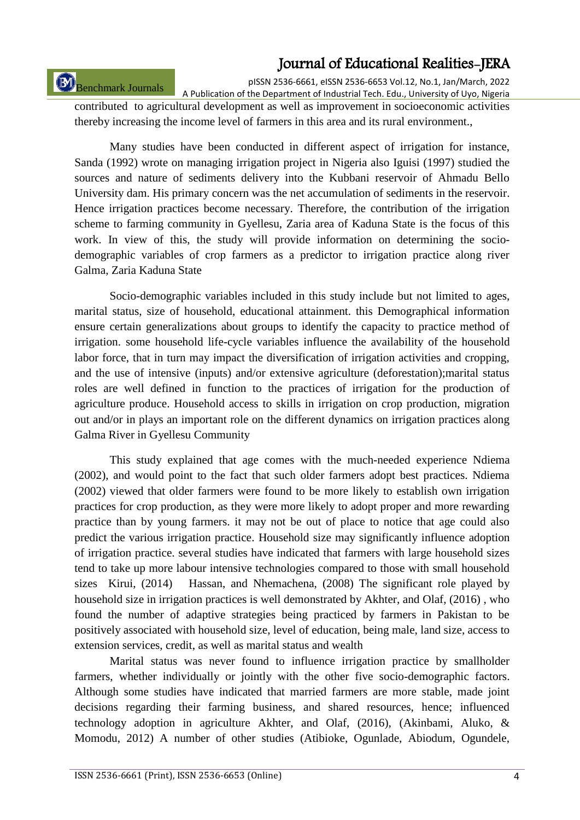# Benchmark Journals

pISSN 2536-6661, eISSN 2536-6653 Vol.12, No.1, Jan/March, 2022

A Publication of the Department of Industrial Tech. Edu., University of Uyo, Nigeria contributed to agricultural development as well as improvement in socioeconomic activities thereby increasing the income level of farmers in this area and its rural environment.,

Many studies have been conducted in different aspect of irrigation for instance, Sanda (1992) wrote on managing irrigation project in Nigeria also Iguisi (1997) studied the sources and nature of sediments delivery into the Kubbani reservoir of Ahmadu Bello University dam. His primary concern was the net accumulation of sediments in the reservoir. Hence irrigation practices become necessary. Therefore, the contribution of the irrigation scheme to farming community in Gyellesu, Zaria area of Kaduna State is the focus of this work. In view of this, the study will provide information on determining the sociodemographic variables of crop farmers as a predictor to irrigation practice along river Galma, Zaria Kaduna State

Socio-demographic variables included in this study include but not limited to ages, marital status, size of household, educational attainment. this Demographical information ensure certain generalizations about groups to identify the capacity to practice method of irrigation. some household life-cycle variables influence the availability of the household labor force, that in turn may impact the diversification of irrigation activities and cropping, and the use of intensive (inputs) and/or extensive agriculture (deforestation);marital status roles are well defined in function to the practices of irrigation for the production of agriculture produce. Household access to skills in irrigation on crop production, migration out and/or in plays an important role on the different dynamics on irrigation practices along Galma River in Gyellesu Community

This study explained that age comes with the much-needed experience Ndiema (2002), and would point to the fact that such older farmers adopt best practices. Ndiema (2002) viewed that older farmers were found to be more likely to establish own irrigation practices for crop production, as they were more likely to adopt proper and more rewarding practice than by young farmers. it may not be out of place to notice that age could also predict the various irrigation practice. Household size may significantly influence adoption of irrigation practice. several studies have indicated that farmers with large household sizes tend to take up more labour intensive technologies compared to those with small household sizes Kirui, (2014) Hassan, and Nhemachena, (2008) The significant role played by household size in irrigation practices is well demonstrated by Akhter, and Olaf, (2016) , who found the number of adaptive strategies being practiced by farmers in Pakistan to be positively associated with household size, level of education, being male, land size, access to extension services, credit, as well as marital status and wealth

Marital status was never found to influence irrigation practice by smallholder farmers, whether individually or jointly with the other five socio-demographic factors. Although some studies have indicated that married farmers are more stable, made joint decisions regarding their farming business, and shared resources, hence; influenced technology adoption in agriculture Akhter, and Olaf, (2016), (Akinbami, Aluko, & Momodu, 2012) A number of other studies (Atibioke, Ogunlade, Abiodum, Ogundele,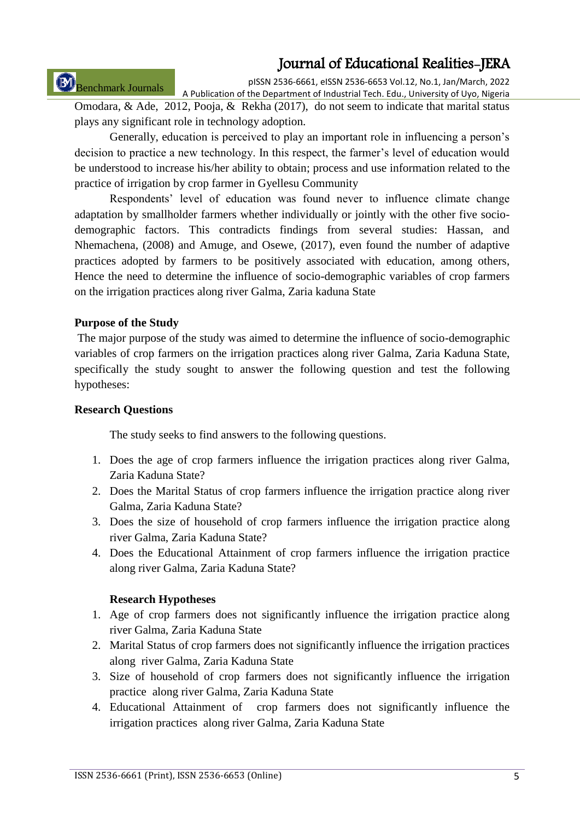# Benchmark Journals

pISSN 2536-6661, eISSN 2536-6653 Vol.12, No.1, Jan/March, 2022 A Publication of the Department of Industrial Tech. Edu., University of Uyo, Nigeria

Omodara, & Ade, 2012, Pooja, & Rekha (2017), do not seem to indicate that marital status plays any significant role in technology adoption.

Generally, education is perceived to play an important role in influencing a person's decision to practice a new technology. In this respect, the farmer's level of education would be understood to increase his/her ability to obtain; process and use information related to the practice of irrigation by crop farmer in Gyellesu Community

Respondents' level of education was found never to influence climate change adaptation by smallholder farmers whether individually or jointly with the other five sociodemographic factors. This contradicts findings from several studies: Hassan, and Nhemachena, (2008) and Amuge, and Osewe, (2017), even found the number of adaptive practices adopted by farmers to be positively associated with education, among others, Hence the need to determine the influence of socio-demographic variables of crop farmers on the irrigation practices along river Galma, Zaria kaduna State

#### **Purpose of the Study**

The major purpose of the study was aimed to determine the influence of socio-demographic variables of crop farmers on the irrigation practices along river Galma, Zaria Kaduna State, specifically the study sought to answer the following question and test the following hypotheses:

#### **Research Questions**

The study seeks to find answers to the following questions.

- 1. Does the age of crop farmers influence the irrigation practices along river Galma, Zaria Kaduna State?
- 2. Does the Marital Status of crop farmers influence the irrigation practice along river Galma, Zaria Kaduna State?
- 3. Does the size of household of crop farmers influence the irrigation practice along river Galma, Zaria Kaduna State?
- 4. Does the Educational Attainment of crop farmers influence the irrigation practice along river Galma, Zaria Kaduna State?

#### **Research Hypotheses**

- 1. Age of crop farmers does not significantly influence the irrigation practice along river Galma, Zaria Kaduna State
- 2. Marital Status of crop farmers does not significantly influence the irrigation practices along river Galma, Zaria Kaduna State
- 3. Size of household of crop farmers does not significantly influence the irrigation practice along river Galma, Zaria Kaduna State
- 4. Educational Attainment of crop farmers does not significantly influence the irrigation practices along river Galma, Zaria Kaduna State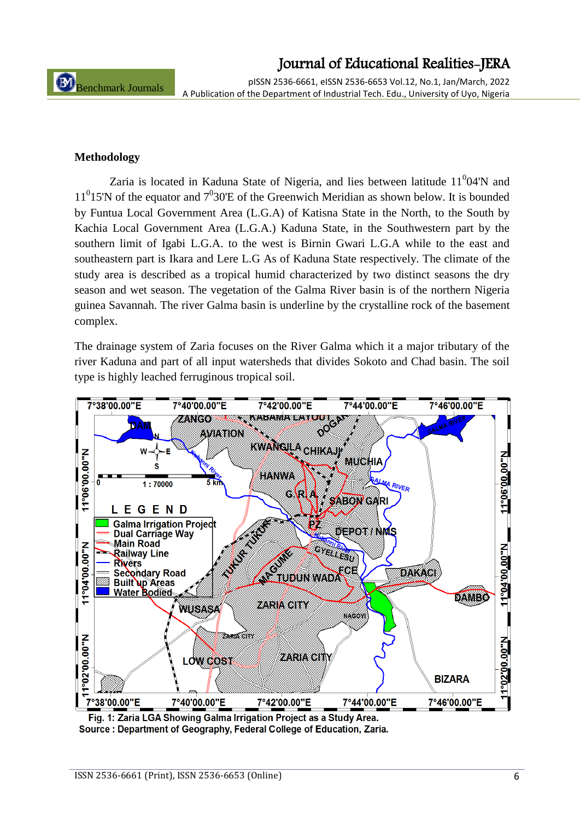pISSN 2536-6661, eISSN 2536-6653 Vol.12, No.1, Jan/March, 2022 A Publication of the Department of Industrial Tech. Edu., University of Uyo, Nigeria

#### **Methodology**

Zaria is located in Kaduna State of Nigeria, and lies between latitude  $11<sup>0</sup>04'N$  and  $11<sup>0</sup>15'N$  of the equator and  $7<sup>0</sup>30'E$  of the Greenwich Meridian as shown below. It is bounded by Funtua Local Government Area (L.G.A) of Katisna State in the North, to the South by Kachia Local Government Area (L.G.A.) Kaduna State, in the Southwestern part by the southern limit of Igabi L.G.A. to the west is Birnin Gwari L.G.A while to the east and southeastern part is Ikara and Lere L.G As of Kaduna State respectively. The climate of the study area is described as a tropical humid characterized by two distinct seasons the dry season and wet season. The vegetation of the Galma River basin is of the northern Nigeria guinea Savannah. The river Galma basin is underline by the crystalline rock of the basement complex.

The drainage system of Zaria focuses on the River Galma which it a major tributary of the river Kaduna and part of all input watersheds that divides Sokoto and Chad basin. The soil type is highly leached ferruginous tropical soil.



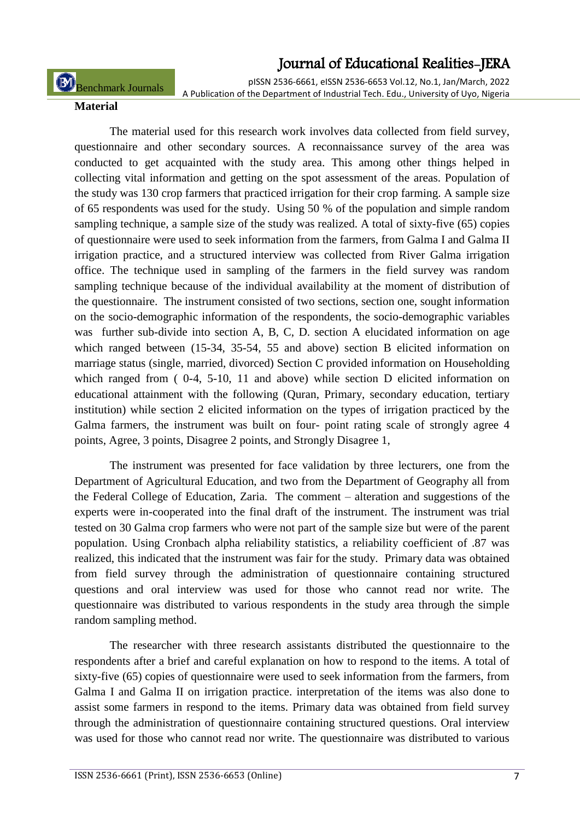pISSN 2536-6661, eISSN 2536-6653 Vol.12, No.1, Jan/March, 2022

Benchmark Journals

A Publication of the Department of Industrial Tech. Edu., University of Uyo, Nigeria

#### **Material**

The material used for this research work involves data collected from field survey, questionnaire and other secondary sources. A reconnaissance survey of the area was conducted to get acquainted with the study area. This among other things helped in collecting vital information and getting on the spot assessment of the areas. Population of the study was 130 crop farmers that practiced irrigation for their crop farming. A sample size of 65 respondents was used for the study. Using 50 % of the population and simple random sampling technique, a sample size of the study was realized. A total of sixty-five (65) copies of questionnaire were used to seek information from the farmers, from Galma I and Galma II irrigation practice, and a structured interview was collected from River Galma irrigation office. The technique used in sampling of the farmers in the field survey was random sampling technique because of the individual availability at the moment of distribution of the questionnaire. The instrument consisted of two sections, section one, sought information on the socio-demographic information of the respondents, the socio-demographic variables was further sub-divide into section A, B, C, D. section A elucidated information on age which ranged between (15-34, 35-54, 55 and above) section B elicited information on marriage status (single, married, divorced) Section C provided information on Householding which ranged from ( 0-4, 5-10, 11 and above) while section D elicited information on educational attainment with the following (Quran, Primary, secondary education, tertiary institution) while section 2 elicited information on the types of irrigation practiced by the Galma farmers, the instrument was built on four- point rating scale of strongly agree 4 points, Agree, 3 points, Disagree 2 points, and Strongly Disagree 1,

The instrument was presented for face validation by three lecturers, one from the Department of Agricultural Education, and two from the Department of Geography all from the Federal College of Education, Zaria. The comment – alteration and suggestions of the experts were in-cooperated into the final draft of the instrument. The instrument was trial tested on 30 Galma crop farmers who were not part of the sample size but were of the parent population. Using Cronbach alpha reliability statistics, a reliability coefficient of .87 was realized, this indicated that the instrument was fair for the study. Primary data was obtained from field survey through the administration of questionnaire containing structured questions and oral interview was used for those who cannot read nor write. The questionnaire was distributed to various respondents in the study area through the simple random sampling method.

The researcher with three research assistants distributed the questionnaire to the respondents after a brief and careful explanation on how to respond to the items. A total of sixty-five (65) copies of questionnaire were used to seek information from the farmers, from Galma I and Galma II on irrigation practice. interpretation of the items was also done to assist some farmers in respond to the items. Primary data was obtained from field survey through the administration of questionnaire containing structured questions. Oral interview was used for those who cannot read nor write. The questionnaire was distributed to various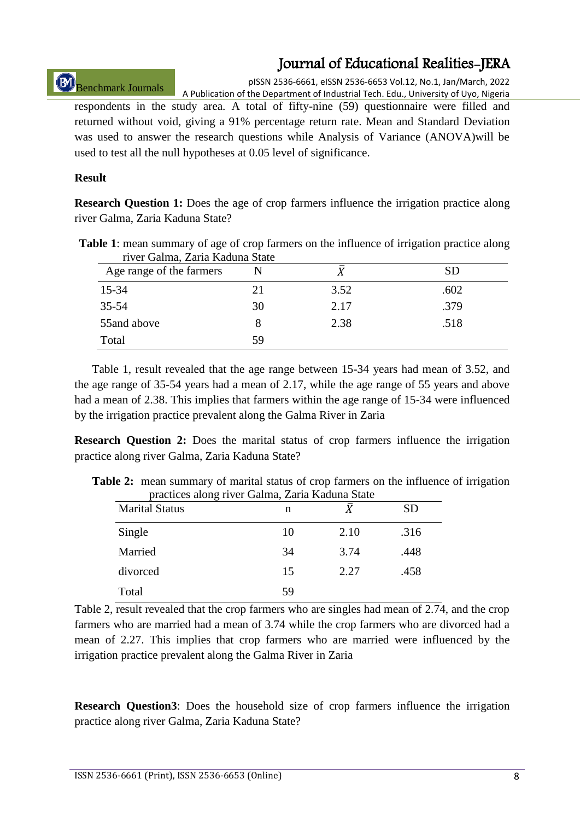Benchmark Journals

pISSN 2536-6661, eISSN 2536-6653 Vol.12, No.1, Jan/March, 2022 A Publication of the Department of Industrial Tech. Edu., University of Uyo, Nigeria

respondents in the study area. A total of fifty-nine (59) questionnaire were filled and returned without void, giving a 91% percentage return rate. Mean and Standard Deviation was used to answer the research questions while Analysis of Variance (ANOVA)will be used to test all the null hypotheses at 0.05 level of significance.

#### **Result**

**Research Question 1:** Does the age of crop farmers influence the irrigation practice along river Galma, Zaria Kaduna State?

| <b>Table 1:</b> mean summary of age of crop farmers on the influence of irrigation practice along |  |
|---------------------------------------------------------------------------------------------------|--|
| river Galma, Zaria Kaduna State                                                                   |  |

| Age range of the farmers |    |      | <b>SD</b> |
|--------------------------|----|------|-----------|
| 15-34                    | 21 | 3.52 | .602      |
| $35 - 54$                | 30 | 2.17 | .379      |
| 55and above              |    | 2.38 | .518      |
| Total                    | 59 |      |           |

Table 1, result revealed that the age range between 15-34 years had mean of 3.52, and the age range of 35-54 years had a mean of 2.17, while the age range of 55 years and above had a mean of 2.38. This implies that farmers within the age range of 15-34 were influenced by the irrigation practice prevalent along the Galma River in Zaria

**Research Question 2:** Does the marital status of crop farmers influence the irrigation practice along river Galma, Zaria Kaduna State?

| practices along river Galma, Zaria Kaduna State<br><b>Marital Status</b> | n  |      | SD   |
|--------------------------------------------------------------------------|----|------|------|
| Single                                                                   | 10 | 2.10 | .316 |
| Married                                                                  | 34 | 3.74 | .448 |
| divorced                                                                 | 15 | 2.27 | .458 |
| Total                                                                    | 59 |      |      |

**Table 2:** mean summary of marital status of crop farmers on the influence of irrigation practices along river Galma, Zaria Kaduna State

Table 2, result revealed that the crop farmers who are singles had mean of 2.74, and the crop farmers who are married had a mean of 3.74 while the crop farmers who are divorced had a mean of 2.27. This implies that crop farmers who are married were influenced by the irrigation practice prevalent along the Galma River in Zaria

**Research Question3**: Does the household size of crop farmers influence the irrigation practice along river Galma, Zaria Kaduna State?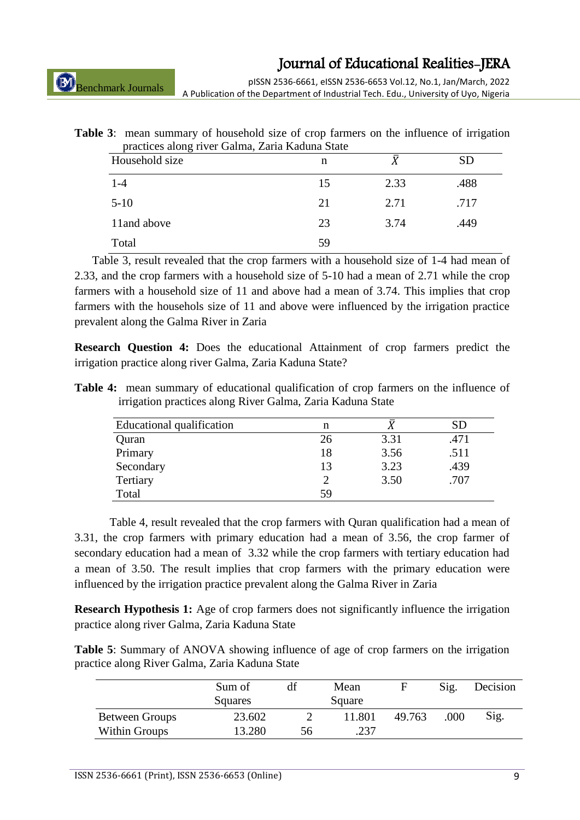Benchmark Journals

pISSN 2536-6661, eISSN 2536-6653 Vol.12, No.1, Jan/March, 2022 A Publication of the Department of Industrial Tech. Edu., University of Uyo, Nigeria

| <b>Table 3:</b> mean summary of household size of crop farmers on the influence of irrigation |
|-----------------------------------------------------------------------------------------------|
| practices along river Galma, Zaria Kaduna State                                               |

| $\tilde{}$<br>Household size | n  |      | <b>SD</b> |
|------------------------------|----|------|-----------|
| $1-4$                        | 15 | 2.33 | .488      |
| $5-10$                       | 21 | 2.71 | .717      |
| 11 and above                 | 23 | 3.74 | .449      |
| Total                        | 59 |      |           |

Table 3, result revealed that the crop farmers with a household size of 1-4 had mean of 2.33, and the crop farmers with a household size of 5-10 had a mean of 2.71 while the crop farmers with a household size of 11 and above had a mean of 3.74. This implies that crop farmers with the househols size of 11 and above were influenced by the irrigation practice prevalent along the Galma River in Zaria

**Research Question 4:** Does the educational Attainment of crop farmers predict the irrigation practice along river Galma, Zaria Kaduna State?

**Table 4:** mean summary of educational qualification of crop farmers on the influence of irrigation practices along River Galma, Zaria Kaduna State

| <b>Educational qualification</b> | n  |      | SD   |
|----------------------------------|----|------|------|
| Quran                            | 26 | 3.31 | .471 |
| Primary                          | 18 | 3.56 | .511 |
| Secondary                        | 13 | 3.23 | .439 |
| Tertiary                         |    | 3.50 | .707 |
| Total                            | 59 |      |      |

Table 4, result revealed that the crop farmers with Quran qualification had a mean of 3.31, the crop farmers with primary education had a mean of 3.56, the crop farmer of secondary education had a mean of 3.32 while the crop farmers with tertiary education had a mean of 3.50. The result implies that crop farmers with the primary education were influenced by the irrigation practice prevalent along the Galma River in Zaria

**Research Hypothesis 1:** Age of crop farmers does not significantly influence the irrigation practice along river Galma, Zaria Kaduna State

**Table 5**: Summary of ANOVA showing influence of age of crop farmers on the irrigation practice along River Galma, Zaria Kaduna State

|                       | Sum of  | Mean |        | F      | Sig. | Decision |
|-----------------------|---------|------|--------|--------|------|----------|
|                       | Squares |      | Square |        |      |          |
| <b>Between Groups</b> | 23.602  |      | 11.801 | 49.763 | .000 | Sig.     |
| Within Groups         | 13.280  | 56   | 237    |        |      |          |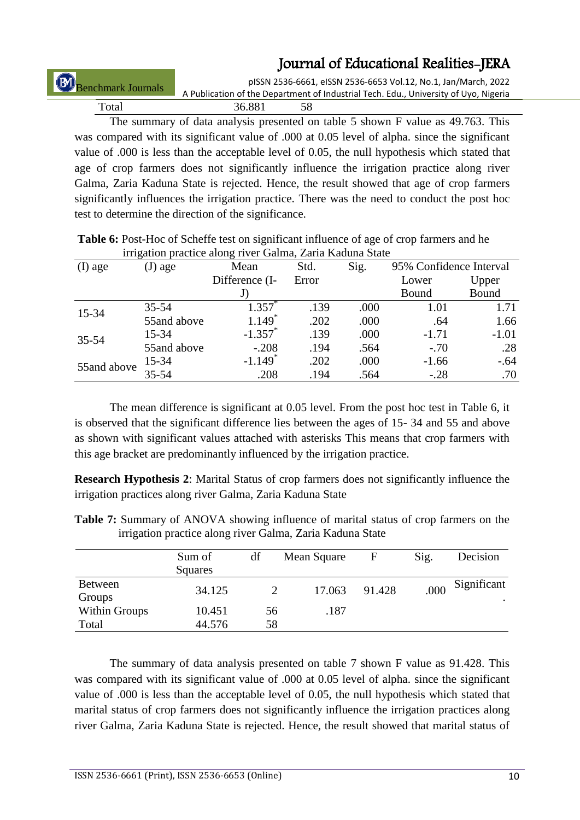pISSN 2536-6661, eISSN 2536-6653 Vol.12, No.1, Jan/March, 2022 A Publication of the Department of Industrial Tech. Edu., University of Uyo, Nigeria Benchmark Journals

Total 36.881 58 The summary of data analysis presented on table 5 shown F value as 49.763. This

was compared with its significant value of .000 at 0.05 level of alpha. since the significant value of .000 is less than the acceptable level of 0.05, the null hypothesis which stated that age of crop farmers does not significantly influence the irrigation practice along river Galma, Zaria Kaduna State is rejected. Hence, the result showed that age of crop farmers significantly influences the irrigation practice. There was the need to conduct the post hoc test to determine the direction of the significance.

|             |             |                       | Inigation practice along river Gamia, Zaria Kaduna State |      |                         |         |  |  |  |  |  |  |
|-------------|-------------|-----------------------|----------------------------------------------------------|------|-------------------------|---------|--|--|--|--|--|--|
| (I) age     | $(J)$ age   | Mean                  | Std.                                                     | Sig. | 95% Confidence Interval |         |  |  |  |  |  |  |
|             |             | Difference (I-        | Error                                                    |      | Lower                   | Upper   |  |  |  |  |  |  |
|             |             | J)                    |                                                          |      | Bound                   | Bound   |  |  |  |  |  |  |
| 15-34       | $35 - 54$   | $1.357^*$             | .139                                                     | .000 | 1.01                    | 1.71    |  |  |  |  |  |  |
|             | 55and above | $1.149*$              | .202                                                     | .000 | .64                     | 1.66    |  |  |  |  |  |  |
| 35-54       | 15-34       | $-1.357$ *            | .139                                                     | .000 | $-1.71$                 | $-1.01$ |  |  |  |  |  |  |
|             | 55and above | $-.208$               | .194                                                     | .564 | $-.70$                  | .28     |  |  |  |  |  |  |
| 55and above | 15-34       | $-1.149$ <sup>*</sup> | .202                                                     | .000 | $-1.66$                 | $-.64$  |  |  |  |  |  |  |
|             | $35 - 54$   | .208                  | .194                                                     | .564 | $-.28$                  | .70     |  |  |  |  |  |  |

**Table 6:** Post-Hoc of Scheffe test on significant influence of age of crop farmers and he irrigation practice along river Galma, Zaria Kaduna State

The mean difference is significant at 0.05 level. From the post hoc test in Table 6, it is observed that the significant difference lies between the ages of 15- 34 and 55 and above as shown with significant values attached with asterisks This means that crop farmers with this age bracket are predominantly influenced by the irrigation practice.

**Research Hypothesis 2**: Marital Status of crop farmers does not significantly influence the irrigation practices along river Galma, Zaria Kaduna State

|                      | Sum of<br>Squares | df | Mean Square | F      | Sig. | Decision         |
|----------------------|-------------------|----|-------------|--------|------|------------------|
| Between<br>Groups    | 34.125            |    | 17.063      | 91.428 | .000 | Significant<br>٠ |
| <b>Within Groups</b> | 10.451            | 56 | .187        |        |      |                  |
| Total                | 44.576            | 58 |             |        |      |                  |

**Table 7:** Summary of ANOVA showing influence of marital status of crop farmers on the irrigation practice along river Galma, Zaria Kaduna State

The summary of data analysis presented on table 7 shown F value as 91.428. This was compared with its significant value of .000 at 0.05 level of alpha. since the significant value of .000 is less than the acceptable level of 0.05, the null hypothesis which stated that marital status of crop farmers does not significantly influence the irrigation practices along river Galma, Zaria Kaduna State is rejected. Hence, the result showed that marital status of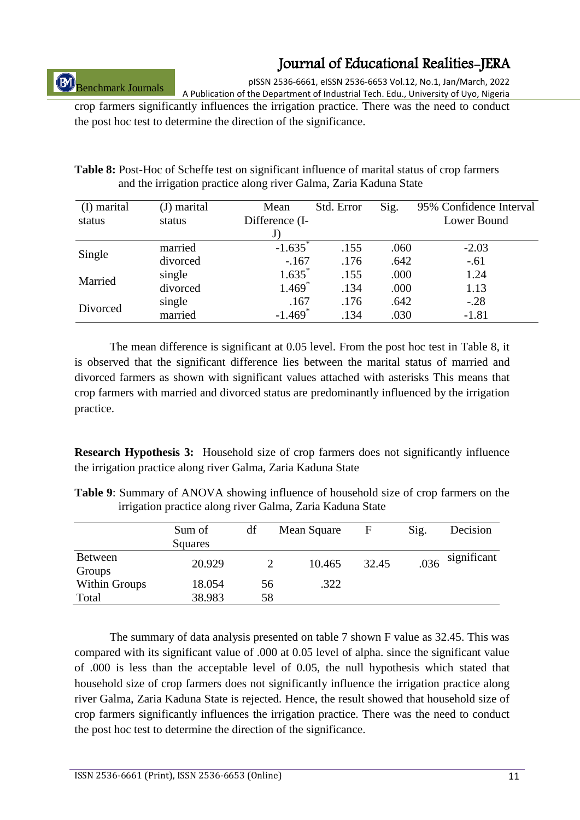Benchmark Journals

pISSN 2536-6661, eISSN 2536-6653 Vol.12, No.1, Jan/March, 2022 A Publication of the Department of Industrial Tech. Edu., University of Uyo, Nigeria

crop farmers significantly influences the irrigation practice. There was the need to conduct the post hoc test to determine the direction of the significance.

| (I) marital<br>status | (J) marital<br>status | Mean<br>Difference (I- | Std. Error | Sig. | 95% Confidence Interval<br>Lower Bound |
|-----------------------|-----------------------|------------------------|------------|------|----------------------------------------|
|                       |                       | J                      |            |      |                                        |
|                       | married               | $-1.635$               | .155       | .060 | $-2.03$                                |
| Single                | divorced              | $-167$                 | .176       | .642 | $-.61$                                 |
|                       | single                | $1.635$ <sup>*</sup>   | .155       | .000 | 1.24                                   |
| Married               | divorced              | $1.469*$               | .134       | .000 | 1.13                                   |
|                       | single                | .167                   | .176       | .642 | $-.28$                                 |
| Divorced              | married               | $-1.469$ <sup>*</sup>  | .134       | .030 | $-1.81$                                |

**Table 8:** Post-Hoc of Scheffe test on significant influence of marital status of crop farmers and the irrigation practice along river Galma, Zaria Kaduna State

The mean difference is significant at 0.05 level. From the post hoc test in Table 8, it is observed that the significant difference lies between the marital status of married and divorced farmers as shown with significant values attached with asterisks This means that crop farmers with married and divorced status are predominantly influenced by the irrigation practice.

**Research Hypothesis 3:** Household size of crop farmers does not significantly influence the irrigation practice along river Galma, Zaria Kaduna State

|  | <b>Table 9:</b> Summary of ANOVA showing influence of household size of crop farmers on the |  |  |  |
|--|---------------------------------------------------------------------------------------------|--|--|--|
|  | irrigation practice along river Galma, Zaria Kaduna State                                   |  |  |  |

|                          | Sum of<br>Squares | df | Mean Square | F     | Sig. | Decision    |
|--------------------------|-------------------|----|-------------|-------|------|-------------|
| <b>Between</b><br>Groups | 20.929            |    | 10.465      | 32.45 | .036 | significant |
| <b>Within Groups</b>     | 18.054            | 56 | .322        |       |      |             |
| Total                    | 38.983            | 58 |             |       |      |             |

The summary of data analysis presented on table 7 shown F value as 32.45. This was compared with its significant value of .000 at 0.05 level of alpha. since the significant value of .000 is less than the acceptable level of 0.05, the null hypothesis which stated that household size of crop farmers does not significantly influence the irrigation practice along river Galma, Zaria Kaduna State is rejected. Hence, the result showed that household size of crop farmers significantly influences the irrigation practice. There was the need to conduct the post hoc test to determine the direction of the significance.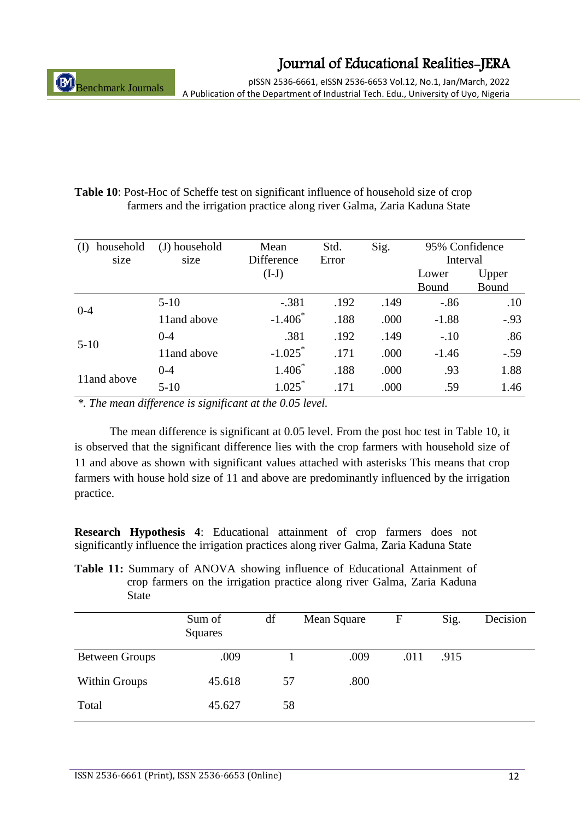pISSN 2536-6661, eISSN 2536-6653 Vol.12, No.1, Jan/March, 2022 A Publication of the Department of Industrial Tech. Edu., University of Uyo, Nigeria

| <b>Table 10:</b> Post-Hoc of Scheffe test on significant influence of household size of crop |
|----------------------------------------------------------------------------------------------|
| farmers and the irrigation practice along river Galma, Zaria Kaduna State                    |

| household    | (J) household | Mean                  | Std.  | Sig. | 95% Confidence |        |  |
|--------------|---------------|-----------------------|-------|------|----------------|--------|--|
| size         | size          | Difference            | Error |      | Interval       |        |  |
|              |               | $(I-J)$               |       |      | Lower          | Upper  |  |
|              |               |                       |       |      | Bound          | Bound  |  |
| $0 - 4$      | $5-10$        | $-.381$               | .192  | .149 | $-.86$         | .10    |  |
|              | 11and above   | $-1.406$              | .188  | .000 | $-1.88$        | $-.93$ |  |
| $5-10$       | $0 - 4$       | .381                  | .192  | .149 | $-.10$         | .86    |  |
|              | 11 and above  | $-1.025$ <sup>*</sup> | .171  | .000 | $-1.46$        | $-.59$ |  |
| 11 and above | $0 - 4$       | $1.406*$              | .188  | .000 | .93            | 1.88   |  |
|              | $5-10$        | $1.025^*$             | .171  | .000 | .59            | 1.46   |  |

*\*. The mean difference is significant at the 0.05 level.*

The mean difference is significant at 0.05 level. From the post hoc test in Table 10, it is observed that the significant difference lies with the crop farmers with household size of 11 and above as shown with significant values attached with asterisks This means that crop farmers with house hold size of 11 and above are predominantly influenced by the irrigation practice.

**Research Hypothesis 4**: Educational attainment of crop farmers does not significantly influence the irrigation practices along river Galma, Zaria Kaduna State

**Table 11:** Summary of ANOVA showing influence of Educational Attainment of crop farmers on the irrigation practice along river Galma, Zaria Kaduna State

|                       | Sum of<br><b>Squares</b> | df | Mean Square | $\mathbf{F}$ | Sig. | Decision |
|-----------------------|--------------------------|----|-------------|--------------|------|----------|
| <b>Between Groups</b> | .009                     |    | .009        | .011         | .915 |          |
| <b>Within Groups</b>  | 45.618                   | 57 | .800        |              |      |          |
| Total                 | 45.627                   | 58 |             |              |      |          |
|                       |                          |    |             |              |      |          |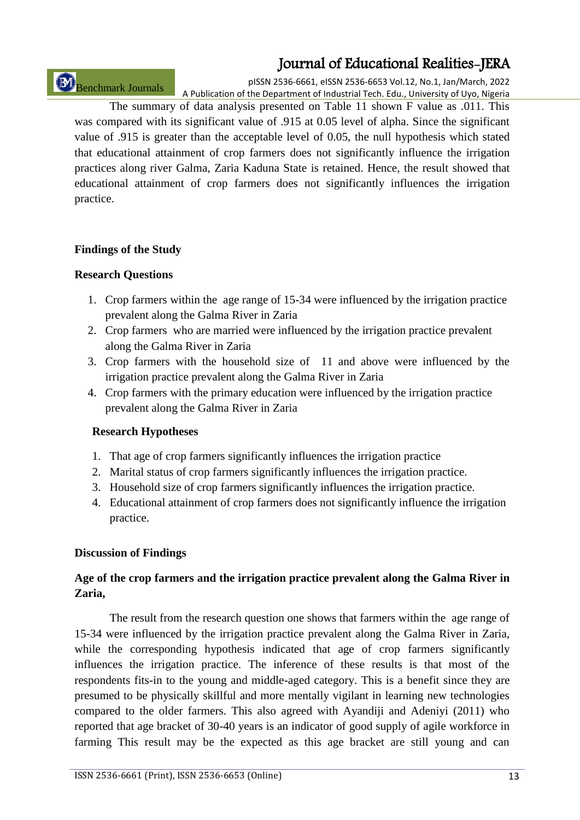Benchmark Journals

pISSN 2536-6661, eISSN 2536-6653 Vol.12, No.1, Jan/March, 2022 A Publication of the Department of Industrial Tech. Edu., University of Uyo, Nigeria

The summary of data analysis presented on Table 11 shown F value as .011. This was compared with its significant value of .915 at 0.05 level of alpha. Since the significant value of .915 is greater than the acceptable level of 0.05, the null hypothesis which stated that educational attainment of crop farmers does not significantly influence the irrigation practices along river Galma, Zaria Kaduna State is retained. Hence, the result showed that educational attainment of crop farmers does not significantly influences the irrigation practice.

### **Findings of the Study**

### **Research Questions**

- 1. Crop farmers within the age range of 15-34 were influenced by the irrigation practice prevalent along the Galma River in Zaria
- 2. Crop farmers who are married were influenced by the irrigation practice prevalent along the Galma River in Zaria
- 3. Crop farmers with the household size of 11 and above were influenced by the irrigation practice prevalent along the Galma River in Zaria
- 4. Crop farmers with the primary education were influenced by the irrigation practice prevalent along the Galma River in Zaria

### **Research Hypotheses**

- 1. That age of crop farmers significantly influences the irrigation practice
- 2. Marital status of crop farmers significantly influences the irrigation practice.
- 3. Household size of crop farmers significantly influences the irrigation practice.
- 4. Educational attainment of crop farmers does not significantly influence the irrigation practice.

### **Discussion of Findings**

### **Age of the crop farmers and the irrigation practice prevalent along the Galma River in Zaria,**

The result from the research question one shows that farmers within the age range of 15-34 were influenced by the irrigation practice prevalent along the Galma River in Zaria, while the corresponding hypothesis indicated that age of crop farmers significantly influences the irrigation practice. The inference of these results is that most of the respondents fits-in to the young and middle-aged category. This is a benefit since they are presumed to be physically skillful and more mentally vigilant in learning new technologies compared to the older farmers. This also agreed with Ayandiji and Adeniyi (2011) who reported that age bracket of 30-40 years is an indicator of good supply of agile workforce in farming This result may be the expected as this age bracket are still young and can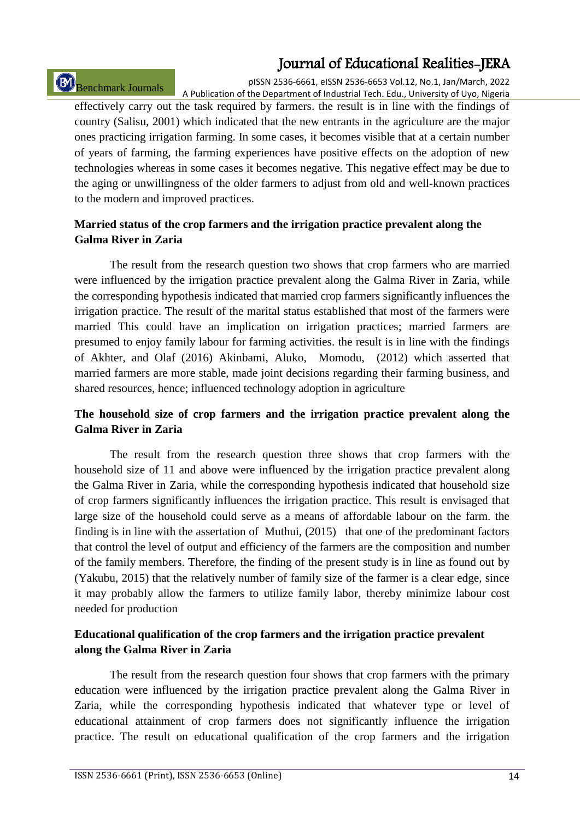# Benchmark Journals

pISSN 2536-6661, eISSN 2536-6653 Vol.12, No.1, Jan/March, 2022 A Publication of the Department of Industrial Tech. Edu., University of Uyo, Nigeria

effectively carry out the task required by farmers. the result is in line with the findings of country (Salisu, 2001) which indicated that the new entrants in the agriculture are the major ones practicing irrigation farming. In some cases, it becomes visible that at a certain number of years of farming, the farming experiences have positive effects on the adoption of new technologies whereas in some cases it becomes negative. This negative effect may be due to the aging or unwillingness of the older farmers to adjust from old and well-known practices to the modern and improved practices.

### **Married status of the crop farmers and the irrigation practice prevalent along the Galma River in Zaria**

The result from the research question two shows that crop farmers who are married were influenced by the irrigation practice prevalent along the Galma River in Zaria, while the corresponding hypothesis indicated that married crop farmers significantly influences the irrigation practice. The result of the marital status established that most of the farmers were married This could have an implication on irrigation practices; married farmers are presumed to enjoy family labour for farming activities. the result is in line with the findings of Akhter, and Olaf (2016) Akinbami, Aluko, Momodu, (2012) which asserted that married farmers are more stable, made joint decisions regarding their farming business, and shared resources, hence; influenced technology adoption in agriculture

### **The household size of crop farmers and the irrigation practice prevalent along the Galma River in Zaria**

The result from the research question three shows that crop farmers with the household size of 11 and above were influenced by the irrigation practice prevalent along the Galma River in Zaria, while the corresponding hypothesis indicated that household size of crop farmers significantly influences the irrigation practice. This result is envisaged that large size of the household could serve as a means of affordable labour on the farm. the finding is in line with the assertation of Muthui, (2015) that one of the predominant factors that control the level of output and efficiency of the farmers are the composition and number of the family members. Therefore, the finding of the present study is in line as found out by (Yakubu, 2015) that the relatively number of family size of the farmer is a clear edge, since it may probably allow the farmers to utilize family labor, thereby minimize labour cost needed for production

### **Educational qualification of the crop farmers and the irrigation practice prevalent along the Galma River in Zaria**

The result from the research question four shows that crop farmers with the primary education were influenced by the irrigation practice prevalent along the Galma River in Zaria, while the corresponding hypothesis indicated that whatever type or level of educational attainment of crop farmers does not significantly influence the irrigation practice. The result on educational qualification of the crop farmers and the irrigation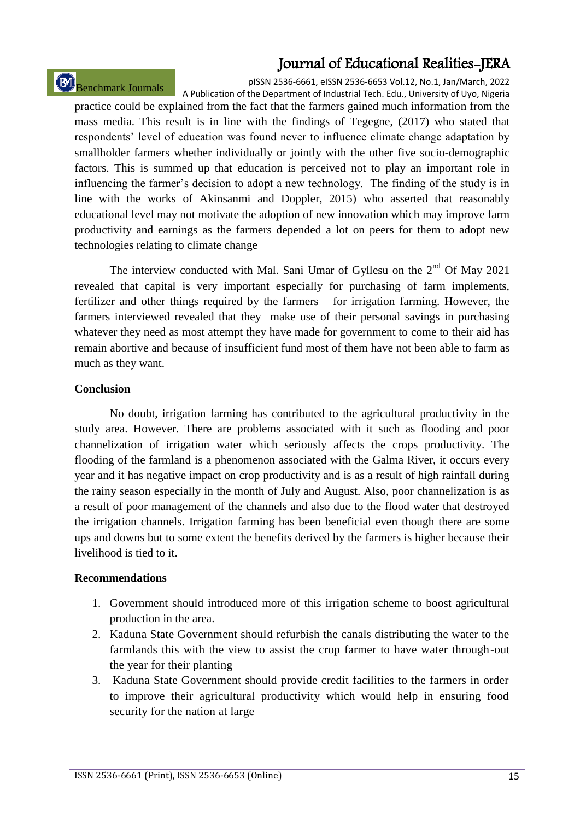# Benchmark Journals

pISSN 2536-6661, eISSN 2536-6653 Vol.12, No.1, Jan/March, 2022 A Publication of the Department of Industrial Tech. Edu., University of Uyo, Nigeria

practice could be explained from the fact that the farmers gained much information from the mass media. This result is in line with the findings of Tegegne, (2017) who stated that respondents' level of education was found never to influence climate change adaptation by smallholder farmers whether individually or jointly with the other five socio-demographic factors. This is summed up that education is perceived not to play an important role in influencing the farmer's decision to adopt a new technology. The finding of the study is in line with the works of Akinsanmi and Doppler, 2015) who asserted that reasonably educational level may not motivate the adoption of new innovation which may improve farm productivity and earnings as the farmers depended a lot on peers for them to adopt new technologies relating to climate change

The interview conducted with Mal. Sani Umar of Gyllesu on the 2<sup>nd</sup> Of May 2021 revealed that capital is very important especially for purchasing of farm implements, fertilizer and other things required by the farmers for irrigation farming. However, the farmers interviewed revealed that they make use of their personal savings in purchasing whatever they need as most attempt they have made for government to come to their aid has remain abortive and because of insufficient fund most of them have not been able to farm as much as they want.

#### **Conclusion**

No doubt, irrigation farming has contributed to the agricultural productivity in the study area. However. There are problems associated with it such as flooding and poor channelization of irrigation water which seriously affects the crops productivity. The flooding of the farmland is a phenomenon associated with the Galma River, it occurs every year and it has negative impact on crop productivity and is as a result of high rainfall during the rainy season especially in the month of July and August. Also, poor channelization is as a result of poor management of the channels and also due to the flood water that destroyed the irrigation channels. Irrigation farming has been beneficial even though there are some ups and downs but to some extent the benefits derived by the farmers is higher because their livelihood is tied to it.

### **Recommendations**

- 1. Government should introduced more of this irrigation scheme to boost agricultural production in the area.
- 2. Kaduna State Government should refurbish the canals distributing the water to the farmlands this with the view to assist the crop farmer to have water through-out the year for their planting
- 3. Kaduna State Government should provide credit facilities to the farmers in order to improve their agricultural productivity which would help in ensuring food security for the nation at large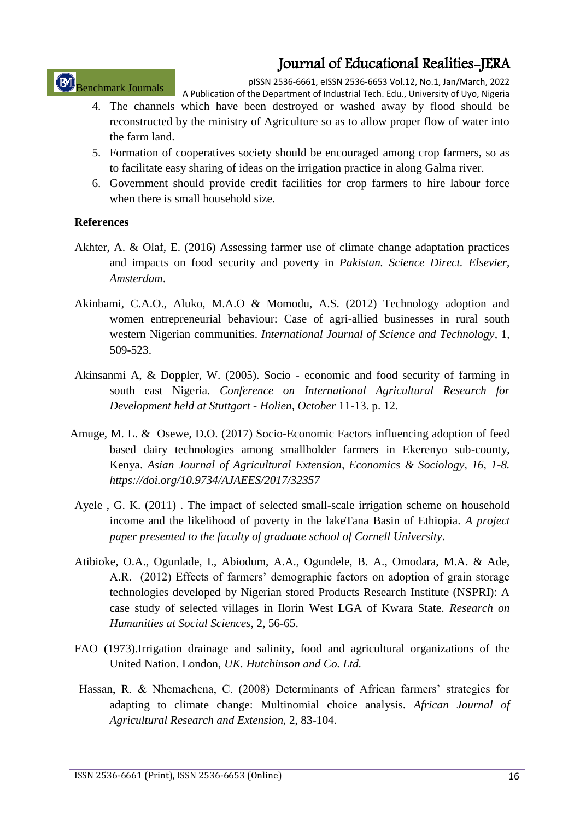Benchmark Journals

pISSN 2536-6661, eISSN 2536-6653 Vol.12, No.1, Jan/March, 2022 A Publication of the Department of Industrial Tech. Edu., University of Uyo, Nigeria

- 4. The channels which have been destroyed or washed away by flood should be reconstructed by the ministry of Agriculture so as to allow proper flow of water into the farm land.
- 5. Formation of cooperatives society should be encouraged among crop farmers, so as to facilitate easy sharing of ideas on the irrigation practice in along Galma river.
- 6. Government should provide credit facilities for crop farmers to hire labour force when there is small household size.

#### **References**

- Akhter, A. & Olaf, E. (2016) Assessing farmer use of climate change adaptation practices and impacts on food security and poverty in *Pakistan. Science Direct. Elsevier, Amsterdam*.
- Akinbami, C.A.O., Aluko, M.A.O & Momodu, A.S. (2012) Technology adoption and women entrepreneurial behaviour: Case of agri-allied businesses in rural south western Nigerian communities. *International Journal of Science and Technology*, 1, 509-523.
- Akinsanmi A, & Doppler, W. (2005). Socio economic and food security of farming in south east Nigeria. *Conference on International Agricultural Research for Development held at Stuttgart - Holien, October* 11-13. p. 12.
- Amuge, M. L. & Osewe, D.O. (2017) Socio-Economic Factors influencing adoption of feed based dairy technologies among smallholder farmers in Ekerenyo sub-county, Kenya. *Asian Journal of Agricultural Extension, Economics & Sociology, 16, 1-8. https://doi.org/10.9734/AJAEES/2017/32357*
- Ayele , G. K. (2011) . The impact of selected small-scale irrigation scheme on household income and the likelihood of poverty in the lakeTana Basin of Ethiopia. *A project paper presented to the faculty of graduate school of Cornell University*.
- Atibioke, O.A., Ogunlade, I., Abiodum, A.A., Ogundele, B. A., Omodara, M.A. & Ade, A.R. (2012) Effects of farmers' demographic factors on adoption of grain storage technologies developed by Nigerian stored Products Research Institute (NSPRI): A case study of selected villages in Ilorin West LGA of Kwara State. *Research on Humanities at Social Sciences*, 2, 56-65.
- FAO (1973).Irrigation drainage and salinity, food and agricultural organizations of the United Nation. London*, UK. Hutchinson and Co. Ltd.*
- Hassan, R. & Nhemachena, C. (2008) Determinants of African farmers' strategies for adapting to climate change: Multinomial choice analysis. *African Journal of Agricultural Research and Extension,* 2, 83-104.